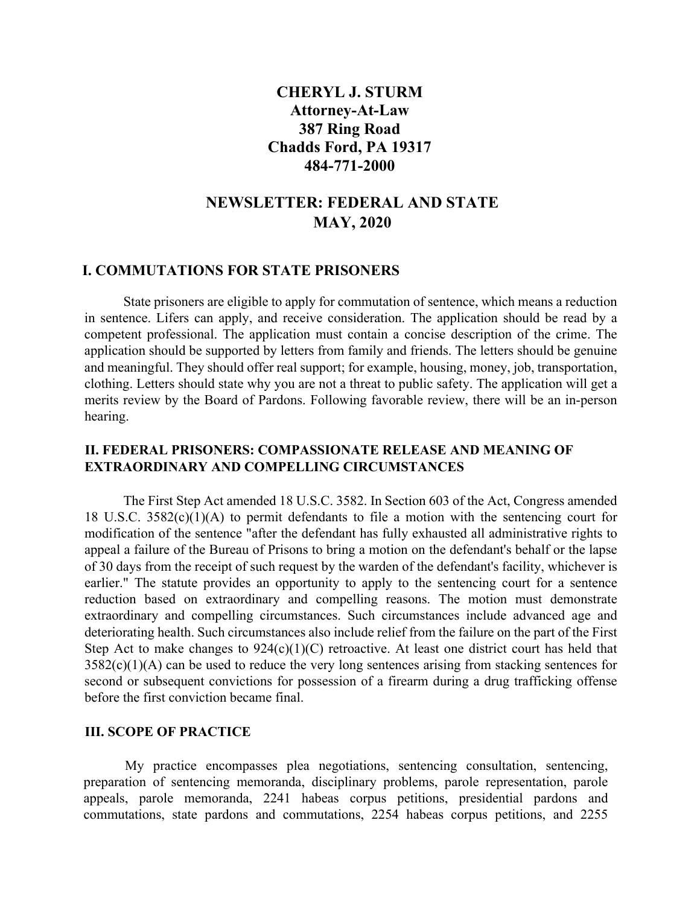## **CHERYL J. STURM Attorney-At-Law 387 Ring Road Chadds Ford, PA 19317 484-771-2000**

# **NEWSLETTER: FEDERAL AND STATE MAY, 2020**

#### **I. COMMUTATIONS FOR STATE PRISONERS**

 State prisoners are eligible to apply for commutation of sentence, which means a reduction in sentence. Lifers can apply, and receive consideration. The application should be read by a competent professional. The application must contain a concise description of the crime. The application should be supported by letters from family and friends. The letters should be genuine and meaningful. They should offer real support; for example, housing, money, job, transportation, clothing. Letters should state why you are not a threat to public safety. The application will get a merits review by the Board of Pardons. Following favorable review, there will be an in-person hearing.

### **II. FEDERAL PRISONERS: COMPASSIONATE RELEASE AND MEANING OF EXTRAORDINARY AND COMPELLING CIRCUMSTANCES**

 The First Step Act amended 18 U.S.C. 3582. In Section 603 of the Act, Congress amended 18 U.S.C. 3582(c)(1)(A) to permit defendants to file a motion with the sentencing court for modification of the sentence "after the defendant has fully exhausted all administrative rights to appeal a failure of the Bureau of Prisons to bring a motion on the defendant's behalf or the lapse of 30 days from the receipt of such request by the warden of the defendant's facility, whichever is earlier." The statute provides an opportunity to apply to the sentencing court for a sentence reduction based on extraordinary and compelling reasons. The motion must demonstrate extraordinary and compelling circumstances. Such circumstances include advanced age and deteriorating health. Such circumstances also include relief from the failure on the part of the First Step Act to make changes to  $924(c)(1)(C)$  retroactive. At least one district court has held that  $3582(c)(1)(A)$  can be used to reduce the very long sentences arising from stacking sentences for second or subsequent convictions for possession of a firearm during a drug trafficking offense before the first conviction became final.

#### **III. SCOPE OF PRACTICE**

My practice encompasses plea negotiations, sentencing consultation, sentencing, preparation of sentencing memoranda, disciplinary problems, parole representation, parole appeals, parole memoranda, 2241 habeas corpus petitions, presidential pardons and commutations, state pardons and commutations, 2254 habeas corpus petitions, and 2255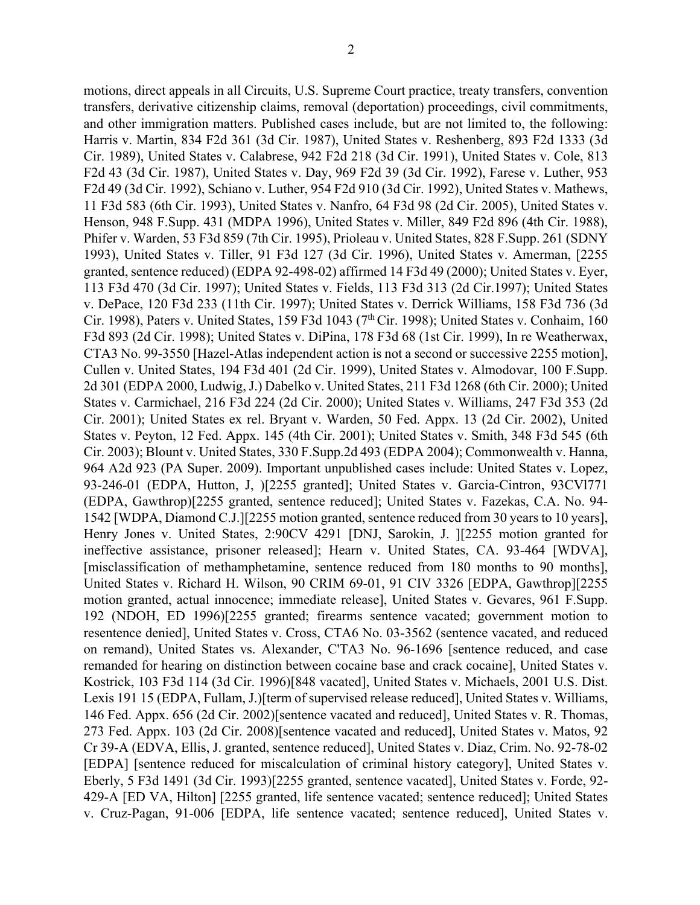motions, direct appeals in all Circuits, U.S. Supreme Court practice, treaty transfers, convention transfers, derivative citizenship claims, removal (deportation) proceedings, civil commitments, and other immigration matters. Published cases include, but are not limited to, the following: Harris v. Martin, 834 F2d 361 (3d Cir. 1987), United States v. Reshenberg, 893 F2d 1333 (3d Cir. 1989), United States v. Calabrese, 942 F2d 218 (3d Cir. 1991), United States v. Cole, 813 F2d 43 (3d Cir. 1987), United States v. Day, 969 F2d 39 (3d Cir. 1992), Farese v. Luther, 953 F2d 49 (3d Cir. 1992), Schiano v. Luther, 954 F2d 910 (3d Cir. 1992), United States v. Mathews, 11 F3d 583 (6th Cir. 1993), United States v. Nanfro, 64 F3d 98 (2d Cir. 2005), United States v. Henson, 948 F.Supp. 431 (MDPA 1996), United States v. Miller, 849 F2d 896 (4th Cir. 1988), Phifer v. Warden, 53 F3d 859 (7th Cir. 1995), Prioleau v. United States, 828 F.Supp. 261 (SDNY 1993), United States v. Tiller, 91 F3d 127 (3d Cir. 1996), United States v. Amerman, [2255 granted, sentence reduced) (EDPA 92-498-02) affirmed 14 F3d 49 (2000); United States v. Eyer, 113 F3d 470 (3d Cir. 1997); United States v. Fields, 113 F3d 313 (2d Cir.1997); United States v. DePace, 120 F3d 233 (11th Cir. 1997); United States v. Derrick Williams, 158 F3d 736 (3d Cir. 1998), Paters v. United States, 159 F3d 1043 (7<sup>th</sup> Cir. 1998); United States v. Conhaim, 160 F3d 893 (2d Cir. 1998); United States v. DiPina, 178 F3d 68 (1st Cir. 1999), In re Weatherwax, CTA3 No. 99-3550 [Hazel-Atlas independent action is not a second or successive 2255 motion], Cullen v. United States, 194 F3d 401 (2d Cir. 1999), United States v. Almodovar, 100 F.Supp. 2d 301 (EDPA 2000, Ludwig, J.) Dabelko v. United States, 211 F3d 1268 (6th Cir. 2000); United States v. Carmichael, 216 F3d 224 (2d Cir. 2000); United States v. Williams, 247 F3d 353 (2d Cir. 2001); United States ex rel. Bryant v. Warden, 50 Fed. Appx. 13 (2d Cir. 2002), United States v. Peyton, 12 Fed. Appx. 145 (4th Cir. 2001); United States v. Smith, 348 F3d 545 (6th Cir. 2003); Blount v. United States, 330 F.Supp.2d 493 (EDPA 2004); Commonwealth v. Hanna, 964 A2d 923 (PA Super. 2009). Important unpublished cases include: United States v. Lopez, 93-246-01 (EDPA, Hutton, J, )[2255 granted]; United States v. Garcia-Cintron, 93CVl771 (EDPA, Gawthrop)[2255 granted, sentence reduced]; United States v. Fazekas, C.A. No. 94- 1542 [WDPA, Diamond C.J.][2255 motion granted, sentence reduced from 30 years to 10 years], Henry Jones v. United States, 2:90CV 4291 [DNJ, Sarokin, J. ][2255 motion granted for ineffective assistance, prisoner released]; Hearn v. United States, CA. 93-464 [WDVA], [misclassification of methamphetamine, sentence reduced from 180 months to 90 months], United States v. Richard H. Wilson, 90 CRIM 69-01, 91 CIV 3326 [EDPA, Gawthrop][2255 motion granted, actual innocence; immediate release], United States v. Gevares, 961 F.Supp. 192 (NDOH, ED 1996)[2255 granted; firearms sentence vacated; government motion to resentence denied], United States v. Cross, CTA6 No. 03-3562 (sentence vacated, and reduced on remand), United States vs. Alexander, C'TA3 No. 96-1696 [sentence reduced, and case remanded for hearing on distinction between cocaine base and crack cocaine], United States v. Kostrick, 103 F3d 114 (3d Cir. 1996)[848 vacated], United States v. Michaels, 2001 U.S. Dist. Lexis 191 15 (EDPA, Fullam, J.)[term of supervised release reduced], United States v. Williams, 146 Fed. Appx. 656 (2d Cir. 2002)[sentence vacated and reduced], United States v. R. Thomas, 273 Fed. Appx. 103 (2d Cir. 2008)[sentence vacated and reduced], United States v. Matos, 92 Cr 39-A (EDVA, Ellis, J. granted, sentence reduced], United States v. Diaz, Crim. No. 92-78-02 [EDPA] [sentence reduced for miscalculation of criminal history category], United States v. Eberly, 5 F3d 1491 (3d Cir. 1993)[2255 granted, sentence vacated], United States v. Forde, 92- 429-A [ED VA, Hilton] [2255 granted, life sentence vacated; sentence reduced]; United States v. Cruz-Pagan, 91-006 [EDPA, life sentence vacated; sentence reduced], United States v.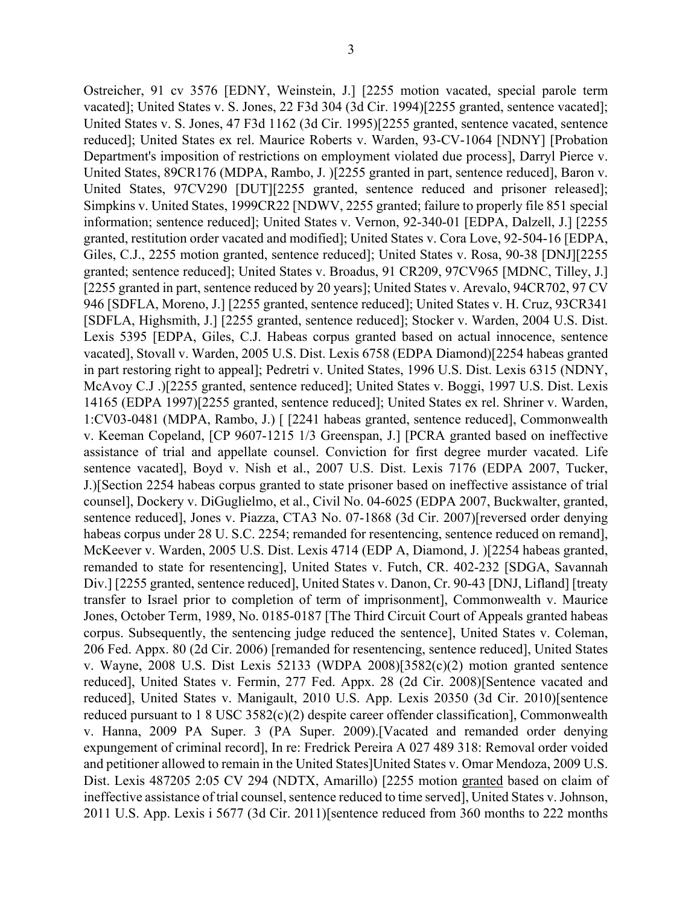Ostreicher, 91 cv 3576 [EDNY, Weinstein, J.] [2255 motion vacated, special parole term vacated]; United States v. S. Jones, 22 F3d 304 (3d Cir. 1994)[2255 granted, sentence vacated]; United States v. S. Jones, 47 F3d 1162 (3d Cir. 1995)[2255 granted, sentence vacated, sentence reduced]; United States ex rel. Maurice Roberts v. Warden, 93-CV-1064 [NDNY] [Probation Department's imposition of restrictions on employment violated due process], Darryl Pierce v. United States, 89CR176 (MDPA, Rambo, J. )[2255 granted in part, sentence reduced], Baron v. United States, 97CV290 [DUT][2255 granted, sentence reduced and prisoner released]; Simpkins v. United States, 1999CR22 [NDWV, 2255 granted; failure to properly file 851 special information; sentence reduced]; United States v. Vernon, 92-340-01 [EDPA, Dalzell, J.] [2255 granted, restitution order vacated and modified]; United States v. Cora Love, 92-504-16 [EDPA, Giles, C.J., 2255 motion granted, sentence reduced]; United States v. Rosa, 90-38 [DNJ][2255 granted; sentence reduced]; United States v. Broadus, 91 CR209, 97CV965 [MDNC, Tilley, J.] [2255 granted in part, sentence reduced by 20 years]; United States v. Arevalo, 94CR702, 97 CV 946 [SDFLA, Moreno, J.] [2255 granted, sentence reduced]; United States v. H. Cruz, 93CR341 [SDFLA, Highsmith, J.] [2255 granted, sentence reduced]; Stocker v. Warden, 2004 U.S. Dist. Lexis 5395 [EDPA, Giles, C.J. Habeas corpus granted based on actual innocence, sentence vacated], Stovall v. Warden, 2005 U.S. Dist. Lexis 6758 (EDPA Diamond)[2254 habeas granted in part restoring right to appeal]; Pedretri v. United States, 1996 U.S. Dist. Lexis 6315 (NDNY, McAvoy C.J .)[2255 granted, sentence reduced]; United States v. Boggi, 1997 U.S. Dist. Lexis 14165 (EDPA 1997)[2255 granted, sentence reduced]; United States ex rel. Shriner v. Warden, 1:CV03-0481 (MDPA, Rambo, J.) [ [2241 habeas granted, sentence reduced], Commonwealth v. Keeman Copeland, [CP 9607-1215 1/3 Greenspan, J.] [PCRA granted based on ineffective assistance of trial and appellate counsel. Conviction for first degree murder vacated. Life sentence vacated], Boyd v. Nish et al., 2007 U.S. Dist. Lexis 7176 (EDPA 2007, Tucker, J.)[Section 2254 habeas corpus granted to state prisoner based on ineffective assistance of trial counsel], Dockery v. DiGuglielmo, et al., Civil No. 04-6025 (EDPA 2007, Buckwalter, granted, sentence reduced], Jones v. Piazza, CTA3 No. 07-1868 (3d Cir. 2007)[reversed order denying habeas corpus under 28 U. S.C. 2254; remanded for resentencing, sentence reduced on remand], McKeever v. Warden, 2005 U.S. Dist. Lexis 4714 (EDP A, Diamond, J. )[2254 habeas granted, remanded to state for resentencing], United States v. Futch, CR. 402-232 [SDGA, Savannah Div.] [2255 granted, sentence reduced], United States v. Danon, Cr. 90-43 [DNJ, Lifland] [treaty transfer to Israel prior to completion of term of imprisonment], Commonwealth v. Maurice Jones, October Term, 1989, No. 0185-0187 [The Third Circuit Court of Appeals granted habeas corpus. Subsequently, the sentencing judge reduced the sentence], United States v. Coleman, 206 Fed. Appx. 80 (2d Cir. 2006) [remanded for resentencing, sentence reduced], United States v. Wayne, 2008 U.S. Dist Lexis 52133 (WDPA 2008)[3582(c)(2) motion granted sentence reduced], United States v. Fermin, 277 Fed. Appx. 28 (2d Cir. 2008)[Sentence vacated and reduced], United States v. Manigault, 2010 U.S. App. Lexis 20350 (3d Cir. 2010)[sentence reduced pursuant to 1 8 USC 3582(c)(2) despite career offender classification], Commonwealth v. Hanna, 2009 PA Super. 3 (PA Super. 2009).[Vacated and remanded order denying expungement of criminal record], In re: Fredrick Pereira A 027 489 318: Removal order voided and petitioner allowed to remain in the United States]United States v. Omar Mendoza, 2009 U.S. Dist. Lexis 487205 2:05 CV 294 (NDTX, Amarillo) [2255 motion granted based on claim of

ineffective assistance of trial counsel, sentence reduced to time served], United States v. Johnson, 2011 U.S. App. Lexis i 5677 (3d Cir. 2011)[sentence reduced from 360 months to 222 months